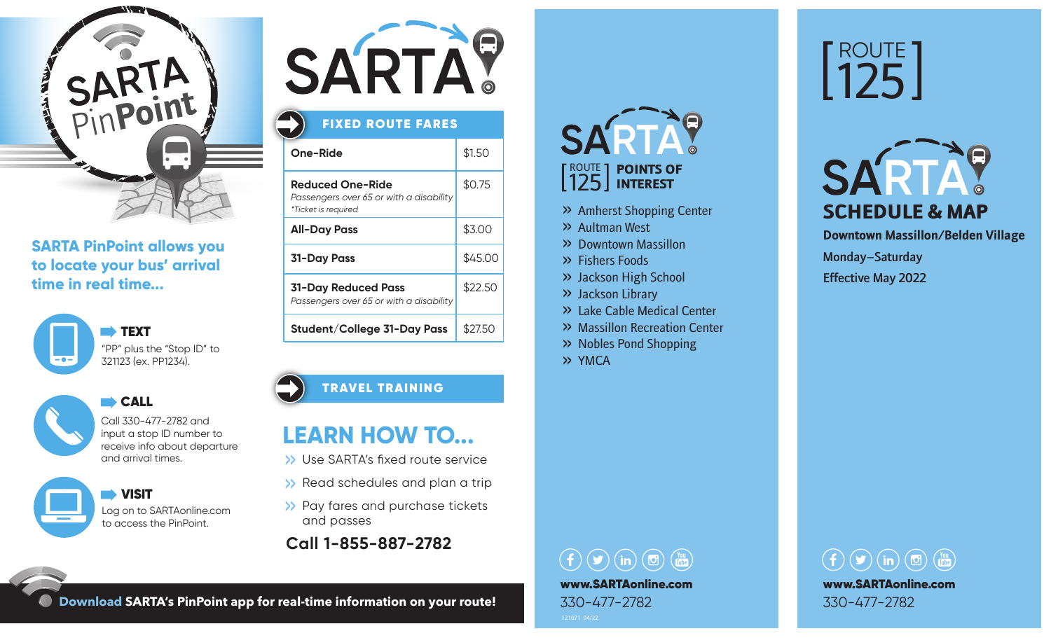

## **SARTA PinPoint allows you to locate your bus' arrival time in real time...**



CALL CALL



Call 330-477-2782 and

input a stop ID number to receive info about departure and arrival times.

 VISIT Log on to SARTAonline.com to access the PinPoint.



## FIXED ROUTE FARES

| One-Ride                                                                                  | \$1.50  |
|-------------------------------------------------------------------------------------------|---------|
| <b>Reduced One-Ride</b><br>Passengers over 65 or with a disability<br>*Ticket is required | \$0.75  |
| <b>All-Day Pass</b>                                                                       | \$3.00  |
| <b>31-Day Pass</b>                                                                        | \$45.00 |
| <b>31-Day Reduced Pass</b><br>Passengers over 65 or with a disability                     | \$22.50 |
| Student/College 31-Day Pass                                                               | \$27.50 |

## TRAVEL TRAINING

# **LEARN HOW TO...**

- >> Use SARTA's fixed route service
- >> Read schedules and plan a trip
- >> Pay fares and purchase tickets and passes
- **Call 1-855-887-2782**

### SART ROUTE POINTS OF 125 INTEREST

- >> Amherst Shopping Center
- >> Aultman West
- >> Downtown Massillon
- >> Fishers Foods
- >> Jackson High School
- >> Jackson Library
- >> Lake Cable Medical Center
- >> Massillon Recreation Center
- >> Nobles Pond Shopping
- >> YMCA

 $\left(\begin{array}{ccc} 0 & \text{(m)} \\ 0 & \text{(m)} \end{array}\right)$ www.SARTAonline.com 330-477-2782





**Downtown Massillon/Belden Village** Monday–Saturday Effective May 2022



**Download SARTA's PinPoint app for real-time information on your route!**